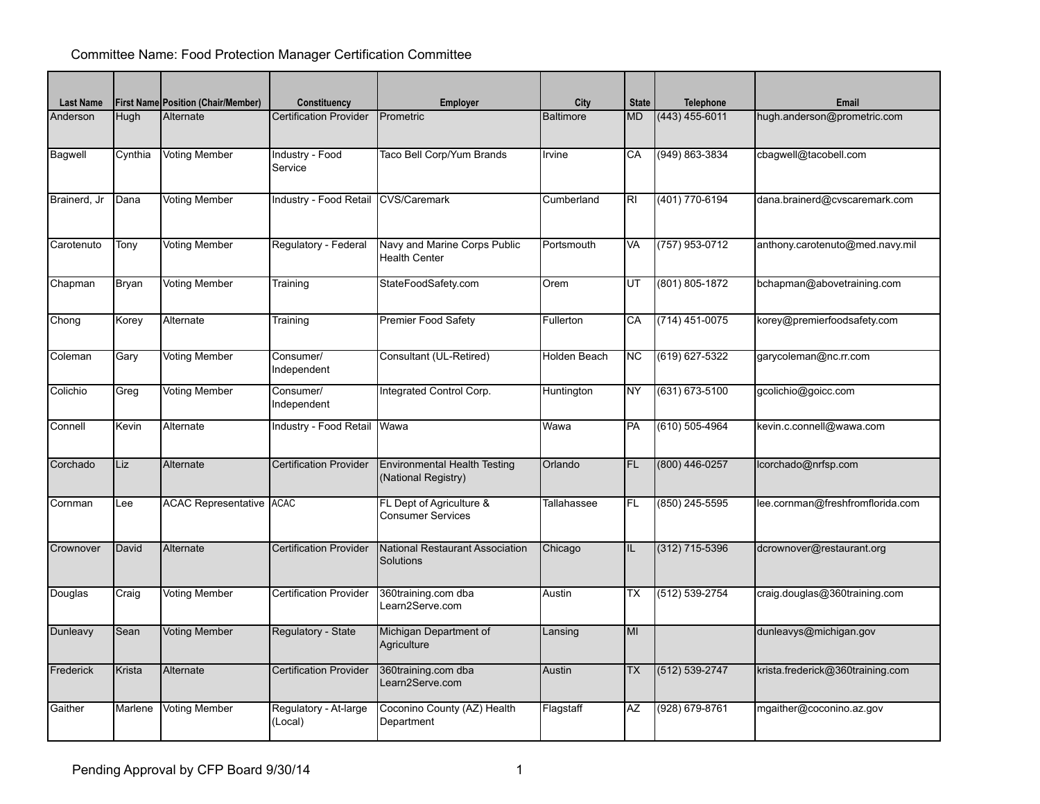## Committee Name: Food Protection Manager Certification Committee

| <b>Last Name</b> |              | <b>First Name Position (Chair/Member)</b> | Constituency                     | <b>Employer</b>                                            | City             | <b>State</b>   | <b>Telephone</b>   | Email                            |
|------------------|--------------|-------------------------------------------|----------------------------------|------------------------------------------------------------|------------------|----------------|--------------------|----------------------------------|
| Anderson         | Hugh         | Alternate                                 | <b>Certification Provider</b>    | Prometric                                                  | <b>Baltimore</b> | <b>MD</b>      | $(443)$ 455-6011   | hugh.anderson@prometric.com      |
|                  |              |                                           |                                  |                                                            |                  |                |                    |                                  |
| Bagwell          | Cynthia      | <b>Voting Member</b>                      | Industry - Food<br>Service       | Taco Bell Corp/Yum Brands                                  | Irvine           | CA             | (949) 863-3834     | cbagwell@tacobell.com            |
| Brainerd, Jr     | Dana         | Voting Member                             | Industry - Food Retail           | <b>CVS/Caremark</b>                                        | Cumberland       | R <sub>l</sub> | (401) 770-6194     | dana.brainerd@cvscaremark.com    |
| Carotenuto       | Tony         | Voting Member                             | Regulatory - Federal             | Navy and Marine Corps Public<br><b>Health Center</b>       | Portsmouth       | VA             | (757) 953-0712     | anthony.carotenuto@med.navy.mil  |
| Chapman          | Bryan        | <b>Voting Member</b>                      | Training                         | StateFoodSafety.com                                        | Orem             | UT             | (801) 805-1872     | bchapman@abovetraining.com       |
| Chong            | Korey        | Alternate                                 | Training                         | <b>Premier Food Safety</b>                                 | Fullerton        | CA             | (714) 451-0075     | korey@premierfoodsafety.com      |
| Coleman          | Gary         | Voting Member                             | Consumer/<br>Independent         | Consultant (UL-Retired)                                    | Holden Beach     | ΝC             | (619) 627-5322     | garycoleman@nc.rr.com            |
| Colichio         | Greg         | Voting Member                             | Consumer/<br>Independent         | Integrated Control Corp.                                   | Huntington       | <b>NY</b>      | $(631) 673 - 5100$ | gcolichio@goicc.com              |
| Connell          | <b>Kevin</b> | Alternate                                 | Industry - Food Retail           | Wawa                                                       | Wawa             | PA             | (610) 505-4964     | kevin.c.connell@wawa.com         |
| Corchado         | Liz          | Alternate                                 | <b>Certification Provider</b>    | <b>Environmental Health Testing</b><br>(National Registry) | Orlando          | <b>FL</b>      | (800) 446-0257     | lcorchado@nrfsp.com              |
| Cornman          | Lee          | <b>ACAC Representative ACAC</b>           |                                  | FL Dept of Agriculture &<br><b>Consumer Services</b>       | Tallahassee      | FL.            | (850) 245-5595     | lee.cornman@freshfromflorida.com |
| Crownover        | David        | Alternate                                 | <b>Certification Provider</b>    | National Restaurant Association<br>Solutions               | Chicago          | IL             | $(312)$ 715-5396   | dcrownover@restaurant.org        |
| Douglas          | Craig        | <b>Voting Member</b>                      | <b>Certification Provider</b>    | 360training.com dba<br>Learn2Serve.com                     | Austin           | ТX             | (512) 539-2754     | craig.douglas@360training.com    |
| Dunleavy         | Sean         | Voting Member                             | Regulatory - State               | Michigan Department of<br>Agriculture                      | Lansing          | MI             |                    | dunleavys@michigan.gov           |
| Frederick        | Krista       | Alternate                                 | <b>Certification Provider</b>    | 360training.com dba<br>Learn2Serve.com                     | Austin           | ТX             | (512) 539-2747     | krista.frederick@360training.com |
| Gaither          | Marlene      | <b>Voting Member</b>                      | Regulatory - At-large<br>(Local) | Coconino County (AZ) Health<br>Department                  | Flagstaff        | <b>AZ</b>      | (928) 679-8761     | mgaither@coconino.az.gov         |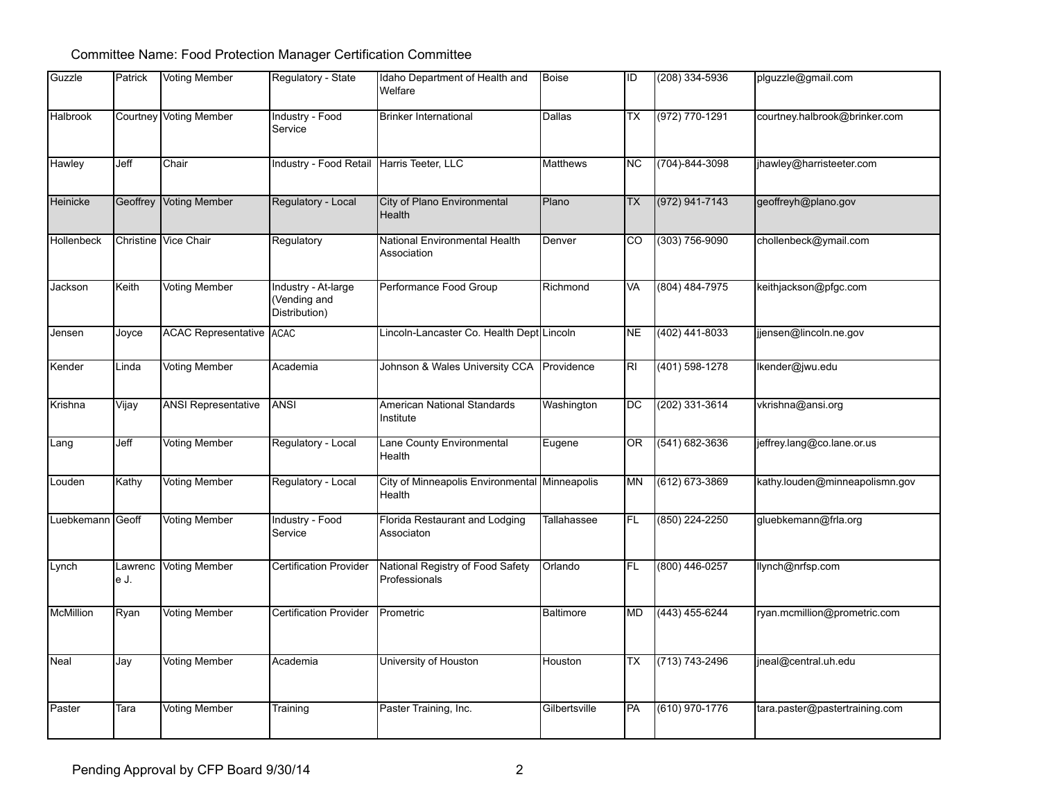## Committee Name: Food Protection Manager Certification Committee

| Guzzle           | Patrick         | Voting Member                 | Regulatory - State                                   | Idaho Department of Health and<br><b>Welfare</b>        | Boise           | ID        | $(208)$ 334-5936   | plguzzle@gmail.com             |
|------------------|-----------------|-------------------------------|------------------------------------------------------|---------------------------------------------------------|-----------------|-----------|--------------------|--------------------------------|
| Halbrook         |                 | <b>Courtney Voting Member</b> | Industry - Food<br>Service                           | <b>Brinker International</b>                            | Dallas          | ТX        | $(972) 770 - 1291$ | courtney.halbrook@brinker.com  |
| Hawley           | Jeff            | Chair                         | Industry - Food Retail Harris Teeter, LLC            |                                                         | <b>Matthews</b> | ΝC        | (704)-844-3098     | jhawley@harristeeter.com       |
| Heinicke         |                 | Geoffrey Voting Member        | Regulatory - Local                                   | City of Plano Environmental<br>Health                   | Plano           | TX.       | $(972) 941 - 7143$ | geoffreyh@plano.gov            |
| Hollenbeck       |                 | Christine Vice Chair          | Regulatory                                           | National Environmental Health<br>Association            | Denver          | CO        | $(303) 756 - 9090$ | chollenbeck@ymail.com          |
| Jackson          | Keith           | <b>Voting Member</b>          | Industry - At-large<br>(Vending and<br>Distribution) | Performance Food Group                                  | Richmond        | VA        | (804) 484-7975     | keithjackson@pfgc.com          |
| Jensen           | Joyce           | ACAC Representative ACAC      |                                                      | Lincoln-Lancaster Co. Health Dept Lincoln               |                 | <b>NE</b> | (402) 441-8033     | jjensen@lincoln.ne.gov         |
| Kender           | Linda           | <b>Voting Member</b>          | Academia                                             | Johnson & Wales University CCA                          | Providence      | RI        | $(401) 598 - 1278$ | Ikender@jwu.edu                |
| Krishna          | Vijay           | <b>ANSI Representative</b>    | ANSI                                                 | American National Standards<br>Institute                | Washington      | DC        | (202) 331-3614     | vkrishna@ansi.org              |
| Lang             | Jeff            | <b>Voting Member</b>          | Regulatory - Local                                   | Lane County Environmental<br>Health                     | Eugene          | 0R        | $(541) 682 - 3636$ | jeffrey.lang@co.lane.or.us     |
| Louden           | Kathy           | <b>Voting Member</b>          | Regulatory - Local                                   | City of Minneapolis Environmental Minneapolis<br>Health |                 | <b>MN</b> | $(612) 673 - 3869$ | kathy.louden@minneapolismn.gov |
| Luebkemann Geoff |                 | <b>Voting Member</b>          | Industry - Food<br>Service                           | Florida Restaurant and Lodging<br>Associaton            | Tallahassee     | IFL.      | $(850)$ 224-2250   | gluebkemann@frla.org           |
| Lynch            | Lawrenc<br>e J. | Voting Member                 | <b>Certification Provider</b>                        | National Registry of Food Safety<br>Professionals       | Orlando         | IFL.      | $(800)$ 446-0257   | llynch@nrfsp.com               |
| McMillion        | Ryan            | <b>Voting Member</b>          | <b>Certification Provider</b>                        | Prometric                                               | Baltimore       | MD        | $(443)$ 455-6244   | ryan.mcmillion@prometric.com   |
| Neal             | Jay             | <b>Voting Member</b>          | Academia                                             | University of Houston                                   | Houston         | ТX        | $(713) 743 - 2496$ | jneal@central.uh.edu           |
| Paster           | Tara            | <b>Voting Member</b>          | Training                                             | Paster Training, Inc.                                   | Gilbertsville   | PA        | $(610)$ 970-1776   | tara.paster@pastertraining.com |